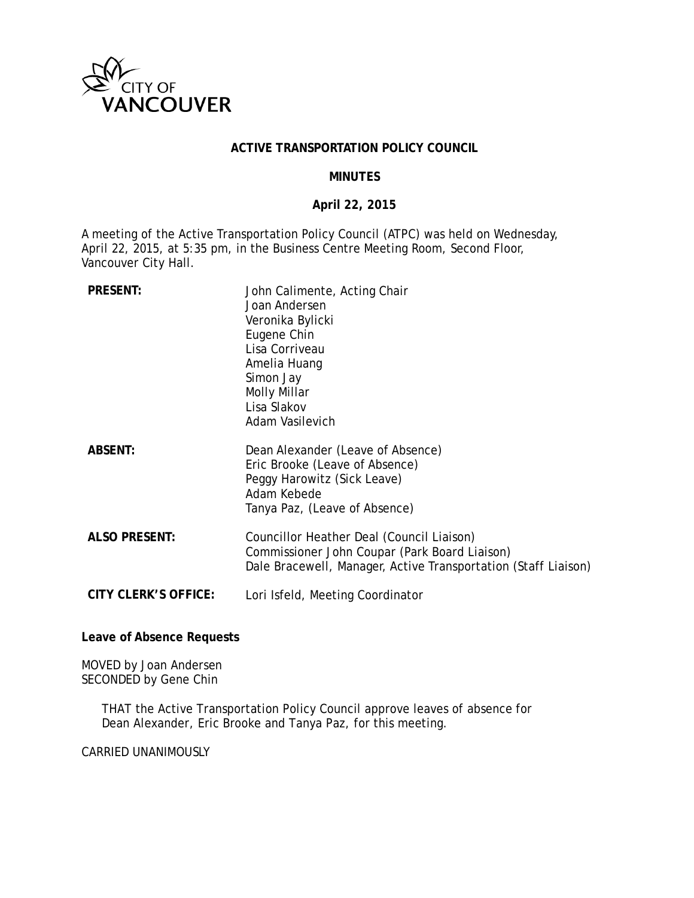

### **ACTIVE TRANSPORTATION POLICY COUNCIL**

### **MINUTES**

### **April 22, 2015**

A meeting of the Active Transportation Policy Council (ATPC) was held on Wednesday, April 22, 2015, at 5:35 pm, in the Business Centre Meeting Room, Second Floor, Vancouver City Hall.

| <b>PRESENT:</b>      | John Calimente, Acting Chair<br>Joan Andersen<br>Veronika Bylicki<br>Eugene Chin<br>Lisa Corriveau<br>Amelia Huang<br>Simon Jay<br>Molly Millar<br>Lisa Slakov<br>Adam Vasilevich |
|----------------------|-----------------------------------------------------------------------------------------------------------------------------------------------------------------------------------|
| <b>ABSENT:</b>       | Dean Alexander (Leave of Absence)<br>Eric Brooke (Leave of Absence)<br>Peggy Harowitz (Sick Leave)<br>Adam Kebede<br>Tanya Paz, (Leave of Absence)                                |
| <b>ALSO PRESENT:</b> | Councillor Heather Deal (Council Liaison)<br>Commissioner John Coupar (Park Board Liaison)<br>Dale Bracewell, Manager, Active Transportation (Staff Liaison)                      |
| CITY CLERK'S OFFICE: | Lori Isfeld, Meeting Coordinator                                                                                                                                                  |

**Leave of Absence Requests**

MOVED by Joan Andersen SECONDED by Gene Chin

> THAT the Active Transportation Policy Council approve leaves of absence for Dean Alexander, Eric Brooke and Tanya Paz, for this meeting.

CARRIED UNANIMOUSLY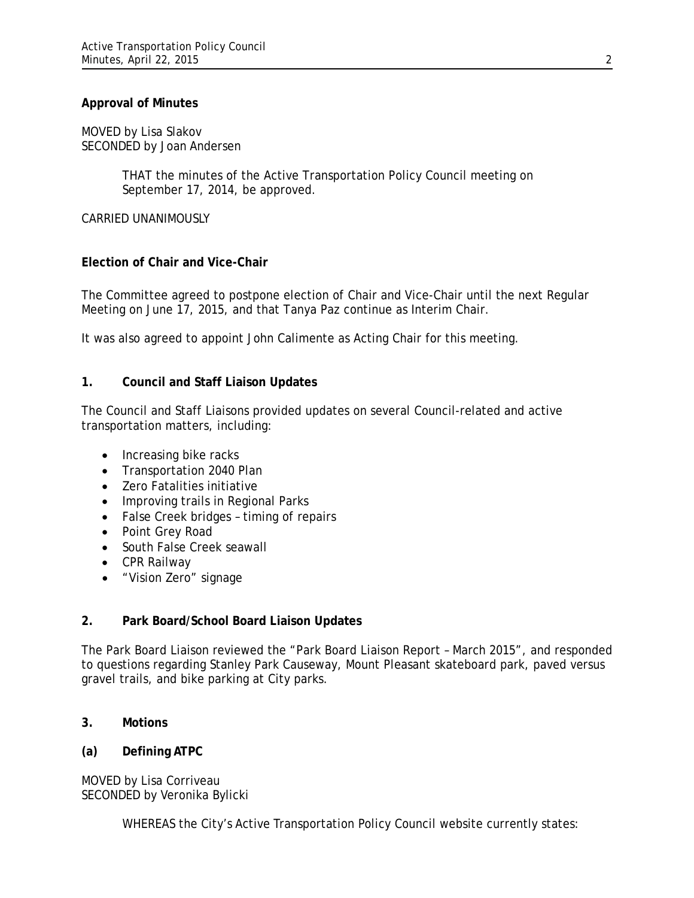### **Approval of Minutes**

MOVED by Lisa Slakov SECONDED by Joan Andersen

> THAT the minutes of the Active Transportation Policy Council meeting on September 17, 2014, be approved.

CARRIED UNANIMOUSLY

# **Election of Chair and Vice-Chair**

The Committee agreed to postpone election of Chair and Vice-Chair until the next Regular Meeting on June 17, 2015, and that Tanya Paz continue as Interim Chair.

It was also agreed to appoint John Calimente as Acting Chair for this meeting.

### **1. Council and Staff Liaison Updates**

The Council and Staff Liaisons provided updates on several Council-related and active transportation matters, including:

- Increasing bike racks
- Transportation 2040 Plan
- Zero Fatalities initiative
- Improving trails in Regional Parks
- False Creek bridges timing of repairs
- Point Grey Road
- South False Creek seawall
- CPR Railway
- "Vision Zero" signage

# **2. Park Board/School Board Liaison Updates**

The Park Board Liaison reviewed the "Park Board Liaison Report – March 2015", and responded to questions regarding Stanley Park Causeway, Mount Pleasant skateboard park, paved versus gravel trails, and bike parking at City parks.

# **3. Motions**

# **(a) Defining ATPC**

MOVED by Lisa Corriveau SECONDED by Veronika Bylicki

WHEREAS the City's Active Transportation Policy Council website currently states: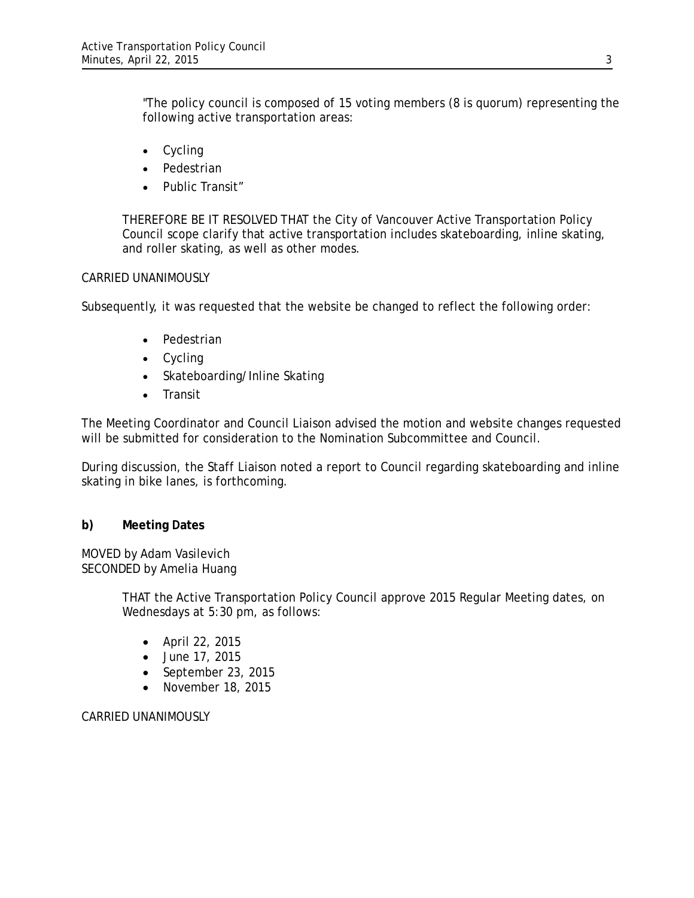"The policy council is composed of 15 voting members (8 is quorum) representing the following active transportation areas:

- Cycling
- Pedestrian
- Public Transit"

THEREFORE BE IT RESOLVED THAT the City of Vancouver Active Transportation Policy Council scope clarify that active transportation includes skateboarding, inline skating, and roller skating, as well as other modes.

# CARRIED UNANIMOUSLY

Subsequently, it was requested that the website be changed to reflect the following order:

- Pedestrian
- Cycling
- Skateboarding/Inline Skating
- Transit

The Meeting Coordinator and Council Liaison advised the motion and website changes requested will be submitted for consideration to the Nomination Subcommittee and Council.

During discussion, the Staff Liaison noted a report to Council regarding skateboarding and inline skating in bike lanes, is forthcoming.

# **b) Meeting Dates**

MOVED by Adam Vasilevich SECONDED by Amelia Huang

> THAT the Active Transportation Policy Council approve 2015 Regular Meeting dates, on Wednesdays at 5:30 pm, as follows:

- April 22, 2015
- June 17, 2015
- September 23, 2015
- November 18, 2015

CARRIED UNANIMOUSLY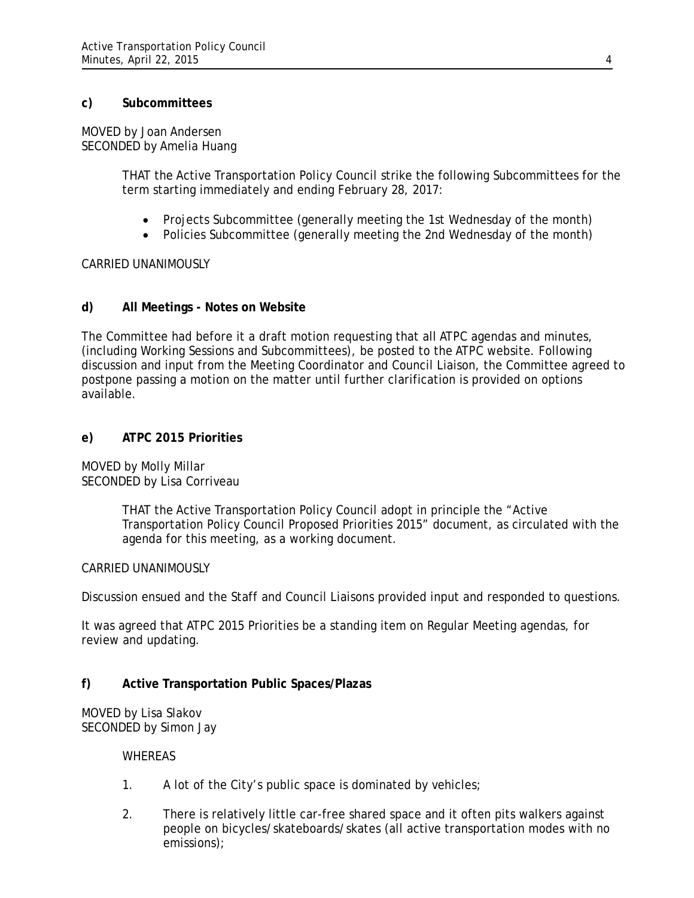# **c) Subcommittees**

MOVED by Joan Andersen SECONDED by Amelia Huang

> THAT the Active Transportation Policy Council strike the following Subcommittees for the term starting immediately and ending February 28, 2017:

- Projects Subcommittee (generally meeting the 1st Wednesday of the month)
- Policies Subcommittee (generally meeting the 2nd Wednesday of the month)

CARRIED UNANIMOUSLY

# **d) All Meetings - Notes on Website**

The Committee had before it a draft motion requesting that all ATPC agendas and minutes, (including Working Sessions and Subcommittees), be posted to the ATPC website. Following discussion and input from the Meeting Coordinator and Council Liaison, the Committee agreed to postpone passing a motion on the matter until further clarification is provided on options available.

### **e) ATPC 2015 Priorities**

MOVED by Molly Millar SECONDED by Lisa Corriveau

> THAT the Active Transportation Policy Council adopt in principle the "Active Transportation Policy Council Proposed Priorities 2015" document, as circulated with the agenda for this meeting, as a working document.

#### CARRIED UNANIMOUSLY

Discussion ensued and the Staff and Council Liaisons provided input and responded to questions.

It was agreed that ATPC 2015 Priorities be a standing item on Regular Meeting agendas, for review and updating.

# **f) Active Transportation Public Spaces/Plazas**

MOVED by Lisa Slakov SECONDED by Simon Jay

#### **WHEREAS**

- 1. A lot of the City's public space is dominated by vehicles;
- 2. There is relatively little car-free shared space and it often pits walkers against people on bicycles/skateboards/skates (all active transportation modes with no emissions);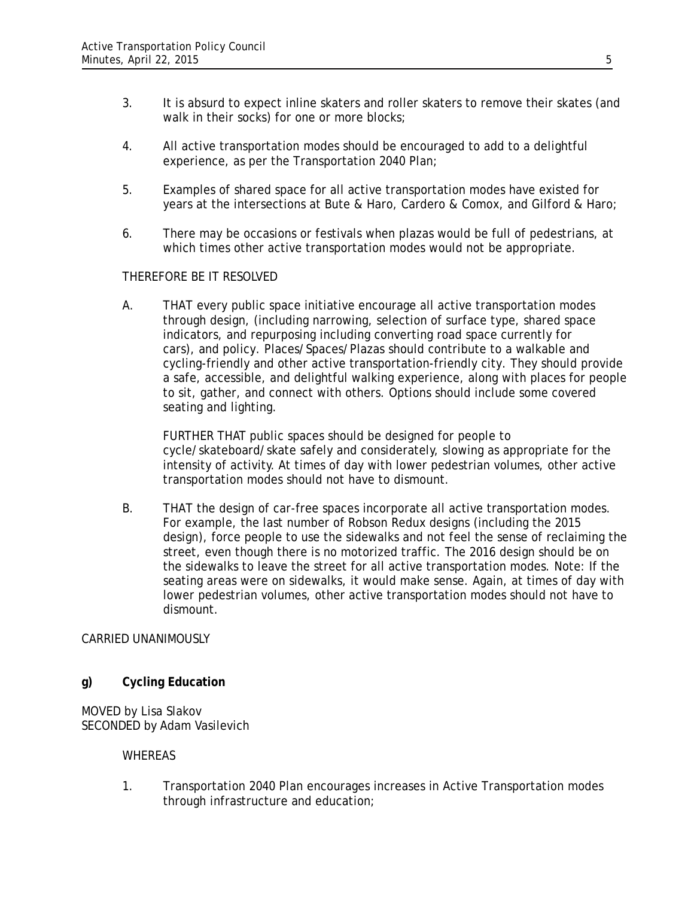- 3. It is absurd to expect inline skaters and roller skaters to remove their skates (and walk in their socks) for one or more blocks;
- 4. All active transportation modes should be encouraged to add to a delightful experience, as per the Transportation 2040 Plan;
- 5. Examples of shared space for all active transportation modes have existed for years at the intersections at Bute & Haro, Cardero & Comox, and Gilford & Haro;
- 6. There may be occasions or festivals when plazas would be full of pedestrians, at which times other active transportation modes would not be appropriate.

# THEREFORE BE IT RESOLVED

A. THAT every public space initiative encourage all active transportation modes through design, (including narrowing, selection of surface type, shared space indicators, and repurposing including converting road space currently for cars), and policy. Places/Spaces/Plazas should contribute to a walkable and cycling-friendly and other active transportation-friendly city. They should provide a safe, accessible, and delightful walking experience, along with places for people to sit, gather, and connect with others. Options should include some covered seating and lighting.

FURTHER THAT public spaces should be designed for people to cycle/skateboard/skate safely and considerately, slowing as appropriate for the intensity of activity. At times of day with lower pedestrian volumes, other active transportation modes should not have to dismount.

B. THAT the design of car-free spaces incorporate all active transportation modes. For example, the last number of Robson Redux designs (including the 2015 design), force people to use the sidewalks and not feel the sense of reclaiming the street, even though there is no motorized traffic. The 2016 design should be on the sidewalks to leave the street for all active transportation modes. Note: If the seating areas were on sidewalks, it would make sense. Again, at times of day with lower pedestrian volumes, other active transportation modes should not have to dismount.

# CARRIED UNANIMOUSLY

# **g) Cycling Education**

MOVED by Lisa Slakov SECONDED by Adam Vasilevich

# WHEREAS

1. Transportation 2040 Plan encourages increases in Active Transportation modes through infrastructure and education;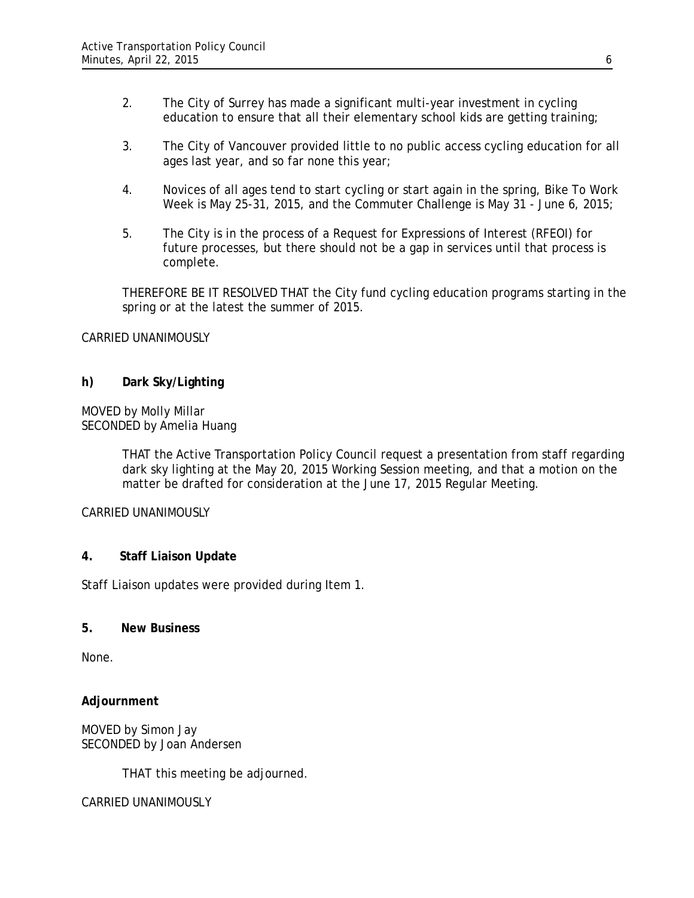- 2. The City of Surrey has made a significant multi-year investment in cycling education to ensure that all their elementary school kids are getting training;
- 3. The City of Vancouver provided little to no public access cycling education for all ages last year, and so far none this year;
- 4. Novices of all ages tend to start cycling or start again in the spring, Bike To Work Week is May 25-31, 2015, and the Commuter Challenge is May 31 - June 6, 2015;
- 5. The City is in the process of a Request for Expressions of Interest (RFEOI) for future processes, but there should not be a gap in services until that process is complete.

THEREFORE BE IT RESOLVED THAT the City fund cycling education programs starting in the spring or at the latest the summer of 2015.

### CARRIED UNANIMOUSLY

# **h) Dark Sky/Lighting**

### MOVED by Molly Millar SECONDED by Amelia Huang

THAT the Active Transportation Policy Council request a presentation from staff regarding dark sky lighting at the May 20, 2015 Working Session meeting, and that a motion on the matter be drafted for consideration at the June 17, 2015 Regular Meeting.

# CARRIED UNANIMOUSLY

# **4. Staff Liaison Update**

Staff Liaison updates were provided during Item 1.

### **5. New Business**

None.

# **Adjournment**

MOVED by Simon Jay SECONDED by Joan Andersen

THAT this meeting be adjourned.

# CARRIED UNANIMOUSLY